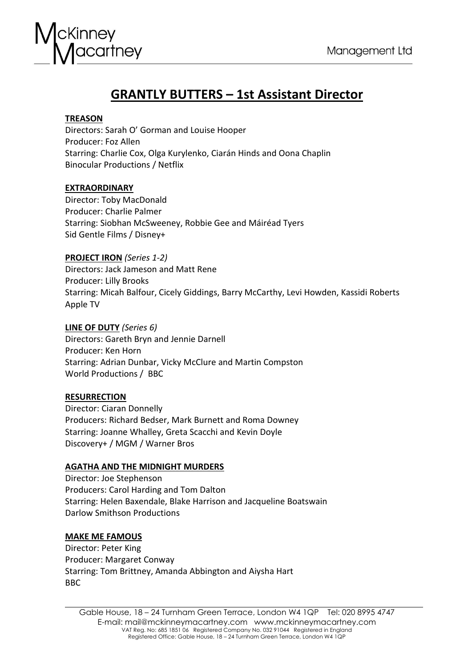

# **GRANTLY BUTTERS – 1st Assistant Director**

# **TREASON**

Directors: Sarah O' Gorman and Louise Hooper Producer: Foz Allen Starring: Charlie Cox, Olga Kurylenko, Ciarán Hinds and Oona Chaplin Binocular Productions / Netflix

# **EXTRAORDINARY**

Director: Toby MacDonald Producer: Charlie Palmer Starring: Siobhan McSweeney, Robbie Gee and Máiréad Tyers Sid Gentle Films / Disney+

# **PROJECT IRON** *(Series 1-2)*

Directors: Jack Jameson and Matt Rene Producer: Lilly Brooks Starring: Micah Balfour, Cicely Giddings, Barry McCarthy, Levi Howden, Kassidi Roberts Apple TV

# **LINE OF DUTY** *(Series 6)*

Directors: Gareth Bryn and Jennie Darnell Producer: Ken Horn Starring: Adrian Dunbar, Vicky McClure and Martin Compston World Productions / BBC

# **RESURRECTION**

Director: Ciaran Donnelly Producers: Richard Bedser, Mark Burnett and Roma Downey Starring: Joanne Whalley, Greta Scacchi and Kevin Doyle Discovery+ / MGM / Warner Bros

# **AGATHA AND THE MIDNIGHT MURDERS**

Director: Joe Stephenson Producers: Carol Harding and Tom Dalton Starring: Helen Baxendale, Blake Harrison and Jacqueline Boatswain Darlow Smithson Productions

# **MAKE ME FAMOUS**

Director: Peter King Producer: Margaret Conway Starring: Tom Brittney, Amanda Abbington and Aiysha Hart BBC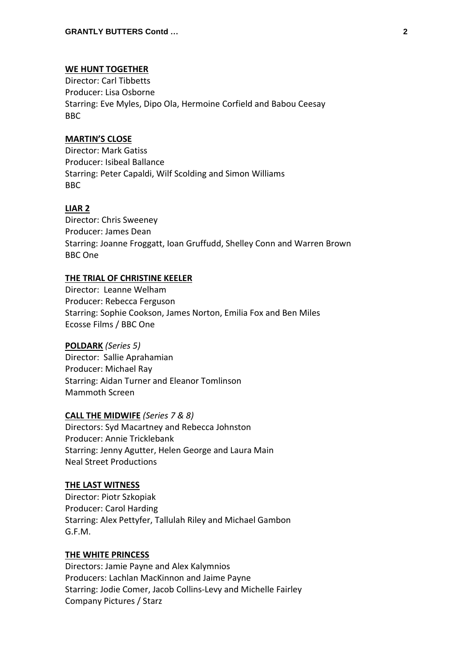# **WE HUNT TOGETHER**

Director: Carl Tibbetts Producer: Lisa Osborne Starring: Eve Myles, Dipo Ola, Hermoine Corfield and Babou Ceesay BBC

# **MARTIN'S CLOSE**

Director: Mark Gatiss Producer: Isibeal Ballance Starring: Peter Capaldi, Wilf Scolding and Simon Williams BBC

# **LIAR 2**

Director: Chris Sweeney Producer: James Dean Starring: Joanne Froggatt, Ioan Gruffudd, Shelley Conn and Warren Brown BBC One

## **THE TRIAL OF CHRISTINE KEELER**

Director: Leanne Welham Producer: Rebecca Ferguson Starring: Sophie Cookson, James Norton, Emilia Fox and Ben Miles Ecosse Films / BBC One

# **POLDARK** *(Series 5)*

Director: Sallie Aprahamian Producer: Michael Ray Starring: Aidan Turner and Eleanor Tomlinson Mammoth Screen

## **CALL THE MIDWIFE** *(Series 7 & 8)*

Directors: Syd Macartney and Rebecca Johnston Producer: Annie Tricklebank Starring: Jenny Agutter, Helen George and Laura Main Neal Street Productions

#### **THE LAST WITNESS**

Director: Piotr Szkopiak Producer: Carol Harding Starring: Alex Pettyfer, Tallulah Riley and Michael Gambon G.F.M.

#### **THE WHITE PRINCESS**

Directors: Jamie Payne and Alex Kalymnios Producers: Lachlan MacKinnon and Jaime Payne Starring: Jodie Comer, Jacob Collins-Levy and Michelle Fairley Company Pictures / Starz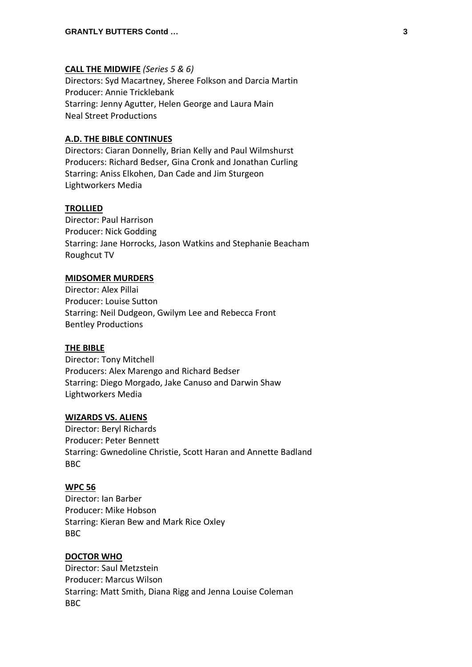## **CALL THE MIDWIFE** *(Series 5 & 6)*

Directors: Syd Macartney, Sheree Folkson and Darcia Martin Producer: Annie Tricklebank Starring: Jenny Agutter, Helen George and Laura Main Neal Street Productions

# **A.D. THE BIBLE CONTINUES**

Directors: Ciaran Donnelly, Brian Kelly and Paul Wilmshurst Producers: Richard Bedser, Gina Cronk and Jonathan Curling Starring: Aniss Elkohen, Dan Cade and Jim Sturgeon Lightworkers Media

## **TROLLIED**

Director: Paul Harrison Producer: Nick Godding Starring: Jane Horrocks, Jason Watkins and Stephanie Beacham Roughcut TV

## **MIDSOMER MURDERS**

Director: Alex Pillai Producer: Louise Sutton Starring: Neil Dudgeon, Gwilym Lee and Rebecca Front Bentley Productions

#### **THE BIBLE**

Director: Tony Mitchell Producers: Alex Marengo and Richard Bedser Starring: Diego Morgado, Jake Canuso and Darwin Shaw Lightworkers Media

#### **WIZARDS VS. ALIENS**

Director: Beryl Richards Producer: Peter Bennett Starring: Gwnedoline Christie, Scott Haran and Annette Badland BBC

#### **WPC 56**

Director: Ian Barber Producer: Mike Hobson Starring: Kieran Bew and Mark Rice Oxley BBC

#### **DOCTOR WHO**

Director: Saul Metzstein Producer: Marcus Wilson Starring: Matt Smith, Diana Rigg and Jenna Louise Coleman BBC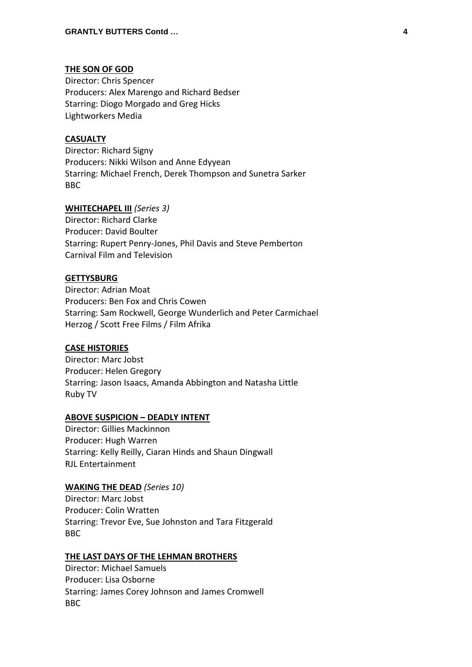# **THE SON OF GOD**

Director: Chris Spencer Producers: Alex Marengo and Richard Bedser Starring: Diogo Morgado and Greg Hicks Lightworkers Media

#### **CASUALTY**

Director: Richard Signy Producers: Nikki Wilson and Anne Edyyean Starring: Michael French, Derek Thompson and Sunetra Sarker BBC

#### **WHITECHAPEL III** *(Series 3)*

Director: Richard Clarke Producer: David Boulter Starring: Rupert Penry-Jones, Phil Davis and Steve Pemberton Carnival Film and Television

## **GETTYSBURG**

Director: Adrian Moat Producers: Ben Fox and Chris Cowen Starring: Sam Rockwell, George Wunderlich and Peter Carmichael Herzog / Scott Free Films / Film Afrika

#### **CASE HISTORIES**

Director: Marc Jobst Producer: Helen Gregory Starring: Jason Isaacs, Amanda Abbington and Natasha Little Ruby TV

#### **ABOVE SUSPICION – DEADLY INTENT**

Director: Gillies Mackinnon Producer: Hugh Warren Starring: Kelly Reilly, Ciaran Hinds and Shaun Dingwall RJL Entertainment

#### **WAKING THE DEAD** *(Series 10)*

Director: Marc Jobst Producer: Colin Wratten Starring: Trevor Eve, Sue Johnston and Tara Fitzgerald BBC

#### **THE LAST DAYS OF THE LEHMAN BROTHERS**

Director: Michael Samuels Producer: Lisa Osborne Starring: James Corey Johnson and James Cromwell BBC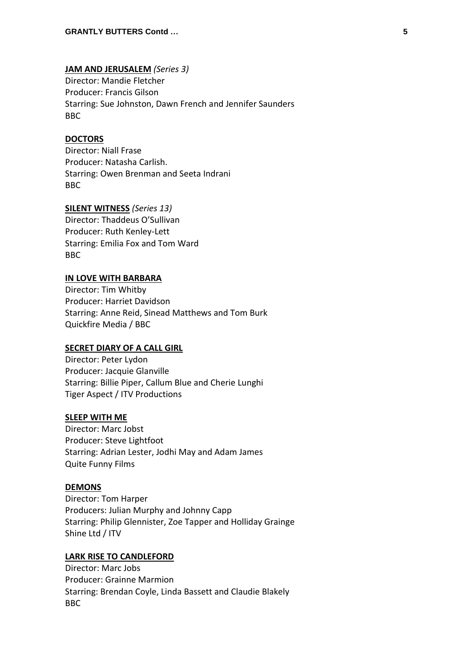## **JAM AND JERUSALEM** *(Series 3)*

Director: Mandie Fletcher Producer: Francis Gilson Starring: Sue Johnston, Dawn French and Jennifer Saunders BBC

## **DOCTORS**

Director: Niall Frase Producer: Natasha Carlish. Starring: Owen Brenman and Seeta Indrani BBC

#### **SILENT WITNESS** *(Series 13)*

Director: Thaddeus O'Sullivan Producer: Ruth Kenley-Lett Starring: Emilia Fox and Tom Ward BBC

# **IN LOVE WITH BARBARA**

Director: Tim Whitby Producer: Harriet Davidson Starring: Anne Reid, Sinead Matthews and Tom Burk Quickfire Media / BBC

### **SECRET DIARY OF A CALL GIRL**

Director: Peter Lydon Producer: Jacquie Glanville Starring: Billie Piper, Callum Blue and Cherie Lunghi Tiger Aspect / ITV Productions

#### **SLEEP WITH ME**

Director: Marc Jobst Producer: Steve Lightfoot Starring: Adrian Lester, Jodhi May and Adam James Quite Funny Films

#### **DEMONS**

Director: Tom Harper Producers: Julian Murphy and Johnny Capp Starring: Philip Glennister, Zoe Tapper and Holliday Grainge Shine Ltd / ITV

#### **LARK RISE TO CANDLEFORD**

Director: Marc Jobs Producer: Grainne Marmion Starring: Brendan Coyle, Linda Bassett and Claudie Blakely BBC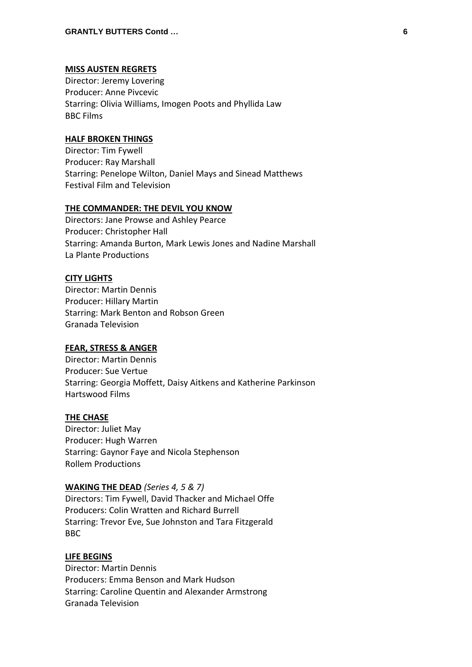#### **MISS AUSTEN REGRETS**

Director: Jeremy Lovering Producer: Anne Pivcevic Starring: Olivia Williams, Imogen Poots and Phyllida Law BBC Films

## **HALF BROKEN THINGS**

Director: Tim Fywell Producer: Ray Marshall Starring: Penelope Wilton, Daniel Mays and Sinead Matthews Festival Film and Television

#### **THE COMMANDER: THE DEVIL YOU KNOW**

Directors: Jane Prowse and Ashley Pearce Producer: Christopher Hall Starring: Amanda Burton, Mark Lewis Jones and Nadine Marshall La Plante Productions

# **CITY LIGHTS**

Director: Martin Dennis Producer: Hillary Martin Starring: Mark Benton and Robson Green Granada Television

#### **FEAR, STRESS & ANGER**

Director: Martin Dennis Producer: Sue Vertue Starring: Georgia Moffett, Daisy Aitkens and Katherine Parkinson Hartswood Films

#### **THE CHASE**

Director: Juliet May Producer: Hugh Warren Starring: Gaynor Faye and Nicola Stephenson Rollem Productions

#### **WAKING THE DEAD** *(Series 4, 5 & 7)*

Directors: Tim Fywell, David Thacker and Michael Offe Producers: Colin Wratten and Richard Burrell Starring: Trevor Eve, Sue Johnston and Tara Fitzgerald BBC

#### **LIFE BEGINS**

Director: Martin Dennis Producers: Emma Benson and Mark Hudson Starring: Caroline Quentin and Alexander Armstrong Granada Television